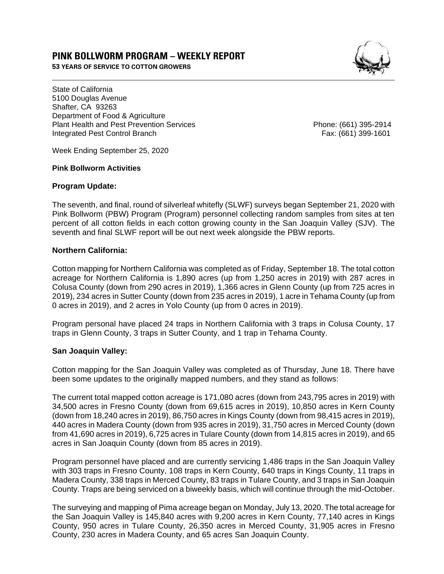# **PINK BOLLWORM PROGRAM – WEEKLY REPORT**

**53 YEARS OF SERVICE TO COTTON GROWERS** 



State of California 5100 Douglas Avenue Shafter, CA 93263 Department of Food & Agriculture Plant Health and Pest Prevention Services Phone: (661) 395-2914 Integrated Pest Control Branch Fax: (661) 399-1601

Week Ending September 25, 2020

#### **Pink Bollworm Activities**

#### **Program Update:**

The seventh, and final, round of silverleaf whitefly (SLWF) surveys began September 21, 2020 with Pink Bollworm (PBW) Program (Program) personnel collecting random samples from sites at ten percent of all cotton fields in each cotton growing county in the San Joaquin Valley (SJV). The seventh and final SLWF report will be out next week alongside the PBW reports.

## **Northern California:**

Cotton mapping for Northern California was completed as of Friday, September 18. The total cotton acreage for Northern California is 1,890 acres (up from 1,250 acres in 2019) with 287 acres in Colusa County (down from 290 acres in 2019), 1,366 acres in Glenn County (up from 725 acres in 2019), 234 acres in Sutter County (down from 235 acres in 2019), 1 acre in Tehama County (up from 0 acres in 2019), and 2 acres in Yolo County (up from 0 acres in 2019).

Program personal have placed 24 traps in Northern California with 3 traps in Colusa County, 17 traps in Glenn County, 3 traps in Sutter County, and 1 trap in Tehama County.

## **San Joaquin Valley:**

Cotton mapping for the San Joaquin Valley was completed as of Thursday, June 18. There have been some updates to the originally mapped numbers, and they stand as follows:

The current total mapped cotton acreage is 171,080 acres (down from 243,795 acres in 2019) with 34,500 acres in Fresno County (down from 69,615 acres in 2019), 10,850 acres in Kern County (down from 18,240 acres in 2019), 86,750 acres in Kings County (down from 98,415 acres in 2019), 440 acres in Madera County (down from 935 acres in 2019), 31,750 acres in Merced County (down from 41,690 acres in 2019), 6,725 acres in Tulare County (down from 14,815 acres in 2019), and 65 acres in San Joaquin County (down from 85 acres in 2019).

Program personnel have placed and are currently servicing 1,486 traps in the San Joaquin Valley with 303 traps in Fresno County, 108 traps in Kern County, 640 traps in Kings County, 11 traps in Madera County, 338 traps in Merced County, 83 traps in Tulare County, and 3 traps in San Joaquin County. Traps are being serviced on a biweekly basis, which will continue through the mid-October.

The surveying and mapping of Pima acreage began on Monday, July 13, 2020. The total acreage for the San Joaquin Valley is 145,840 acres with 9,200 acres in Kern County, 77,140 acres in Kings County, 950 acres in Tulare County, 26,350 acres in Merced County, 31,905 acres in Fresno County, 230 acres in Madera County, and 65 acres San Joaquin County.